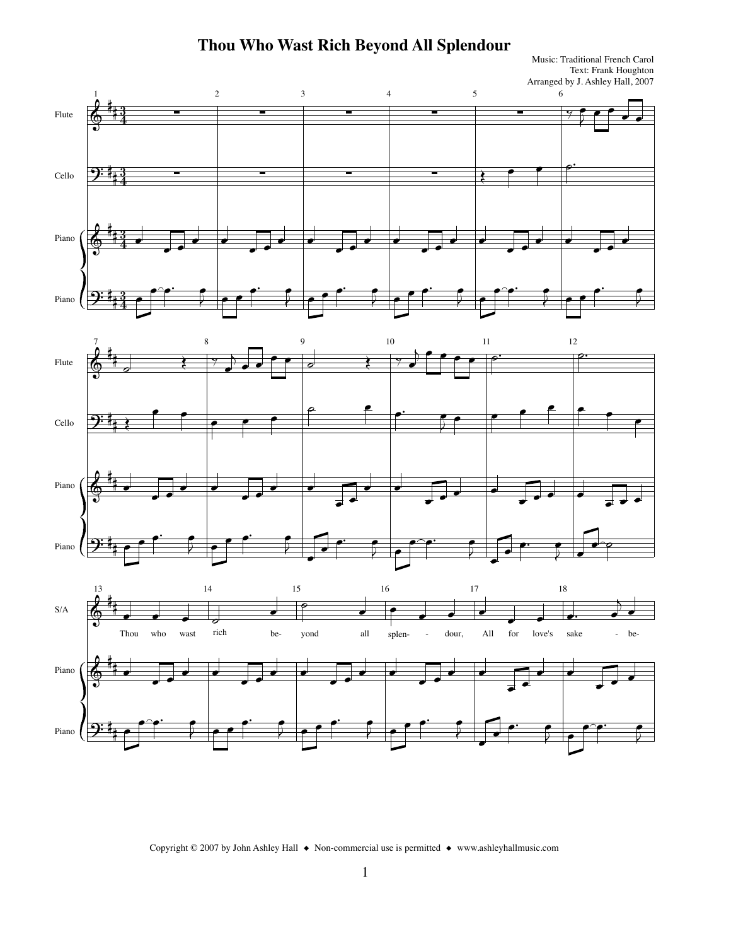## **Thou Who Wast Rich Beyond All Splendour**

Text: Frank Houghton Arranged by J. Ashley Hall, 2007 Music: Traditional French Carol







Copyright © 2007 by John Ashley Hall ◆ Non-commercial use is permitted ◆ www.ashleyhallmusic.com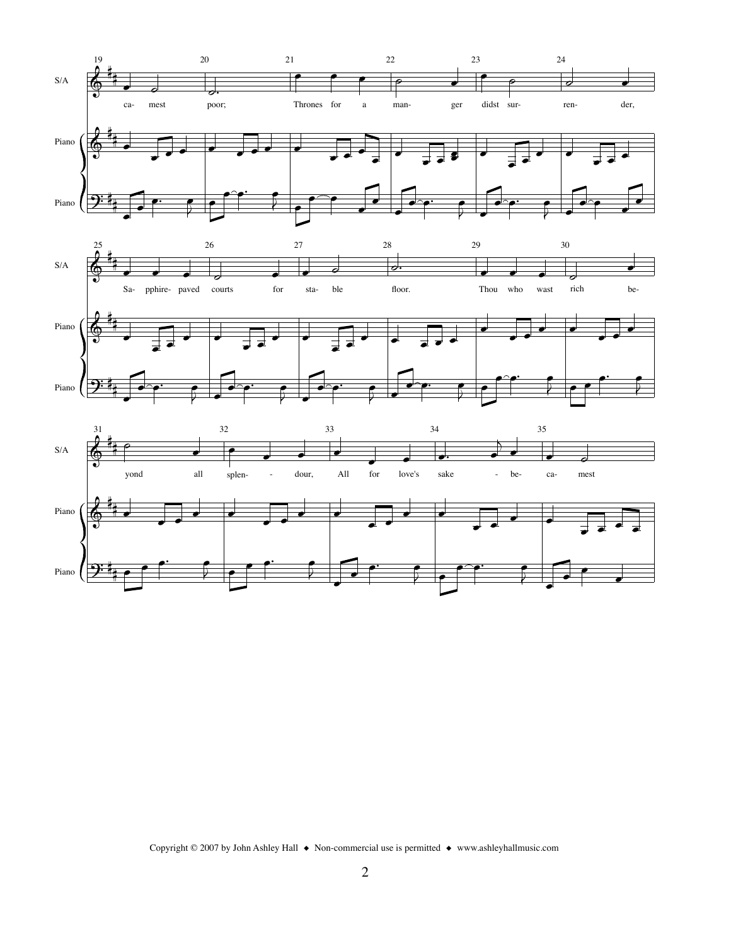

Copyright © 2007 by John Ashley Hall  $\bullet$  Non-commercial use is permitted  $\bullet$  www.ashleyhallmusic.com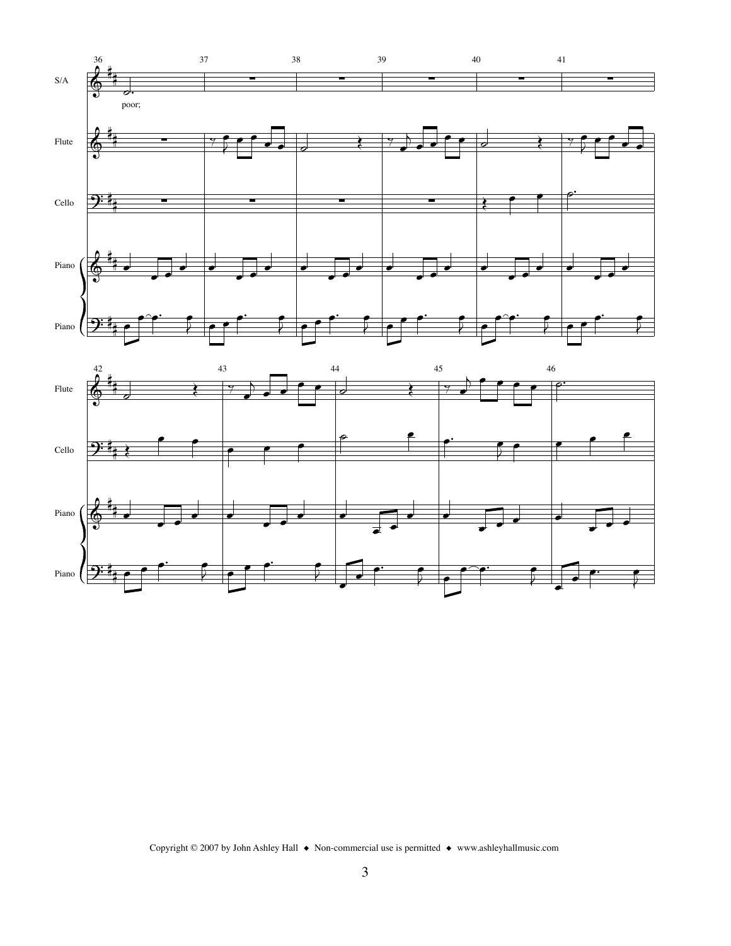



Copyright © 2007 by John Ashley Hall ◆ Non-commercial use is permitted ◆ www.ashleyhallmusic.com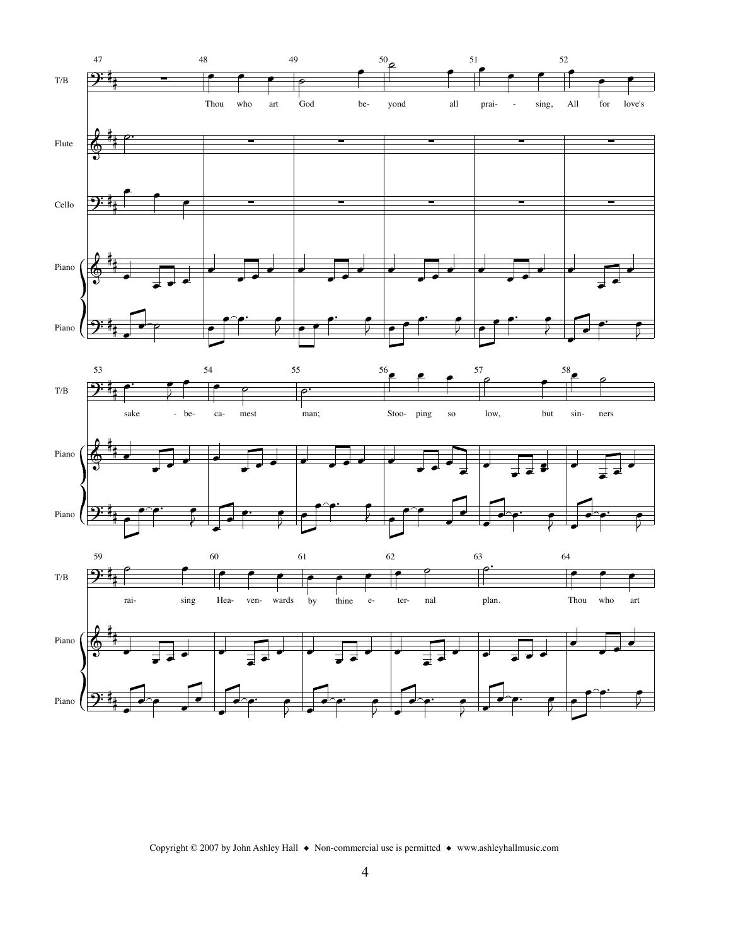

Copyright © 2007 by John Ashley Hall  $\bullet$  Non-commercial use is permitted  $\bullet$  www.ashleyhallmusic.com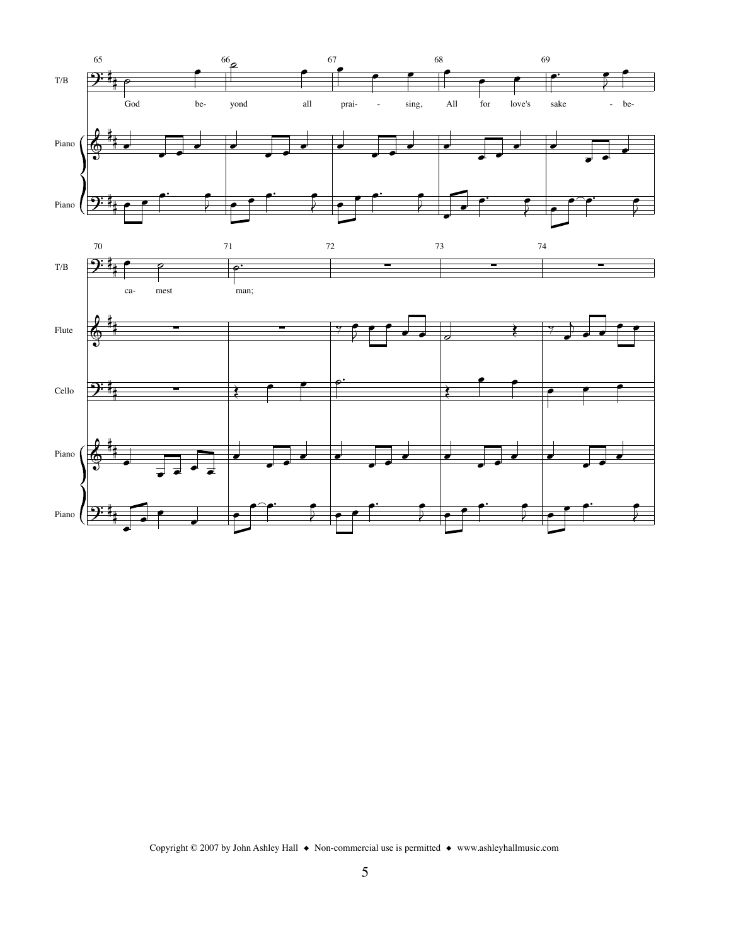

Copyright © 2007 by John Ashley Hall  $\bullet$  Non-commercial use is permitted  $\bullet$  www.ashleyhallmusic.com